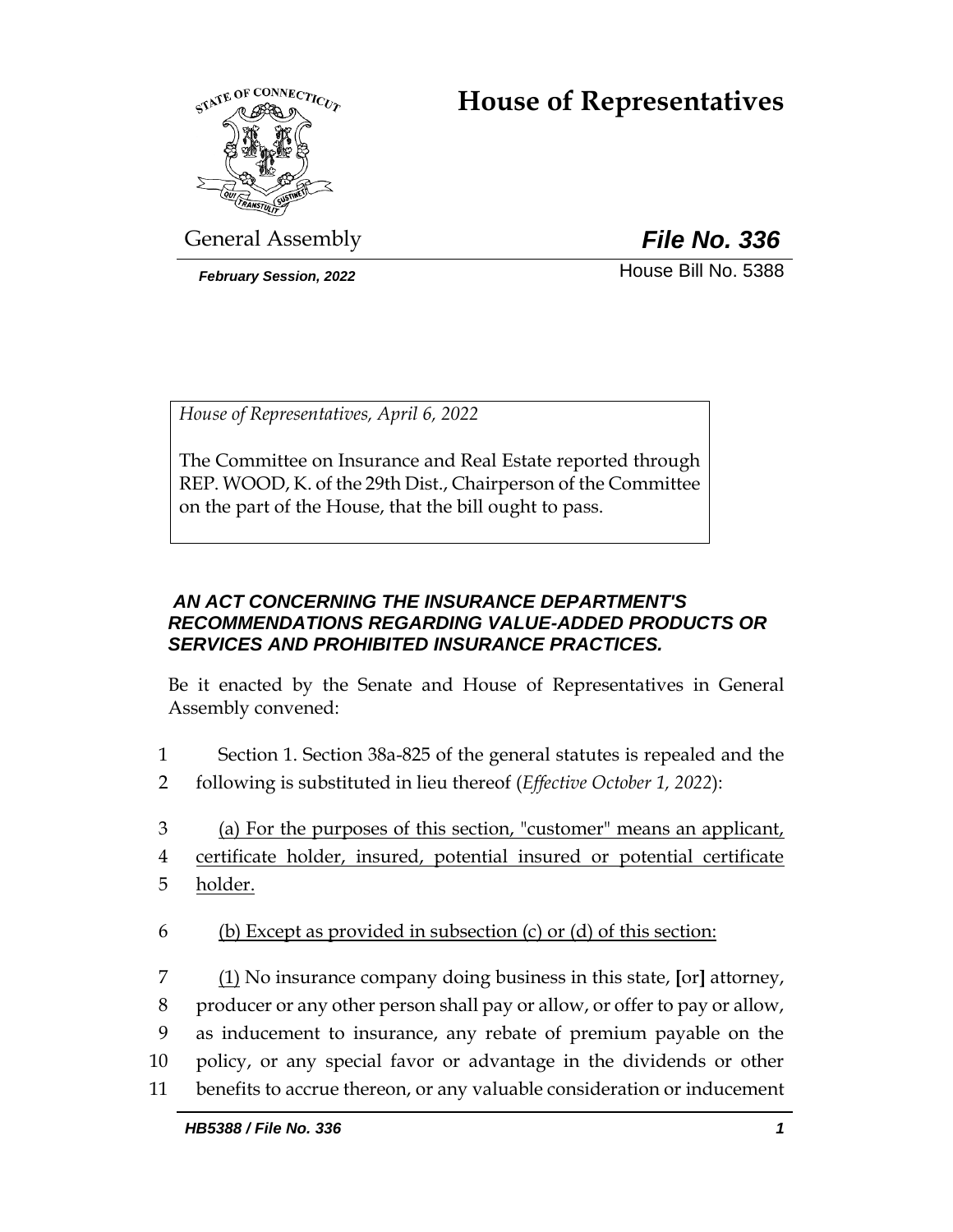# **House of Representatives**



General Assembly *File No. 336*

**February Session, 2022 House Bill No. 5388** 

*House of Representatives, April 6, 2022*

The Committee on Insurance and Real Estate reported through REP. WOOD, K. of the 29th Dist., Chairperson of the Committee on the part of the House, that the bill ought to pass.

# *AN ACT CONCERNING THE INSURANCE DEPARTMENT'S RECOMMENDATIONS REGARDING VALUE-ADDED PRODUCTS OR SERVICES AND PROHIBITED INSURANCE PRACTICES.*

Be it enacted by the Senate and House of Representatives in General Assembly convened:

- 1 Section 1. Section 38a-825 of the general statutes is repealed and the
- 2 following is substituted in lieu thereof (*Effective October 1, 2022*):
- 3 (a) For the purposes of this section, "customer" means an applicant,
- 4 certificate holder, insured, potential insured or potential certificate
- 5 <u>holder.</u>
- 6 (b) Except as provided in subsection  $(c)$  or  $(d)$  of this section:
- 7 (1) No insurance company doing business in this state, **[**or**]** attorney, 8 producer or any other person shall pay or allow, or offer to pay or allow, 9 as inducement to insurance, any rebate of premium payable on the 10 policy, or any special favor or advantage in the dividends or other 11 benefits to accrue thereon, or any valuable consideration or inducement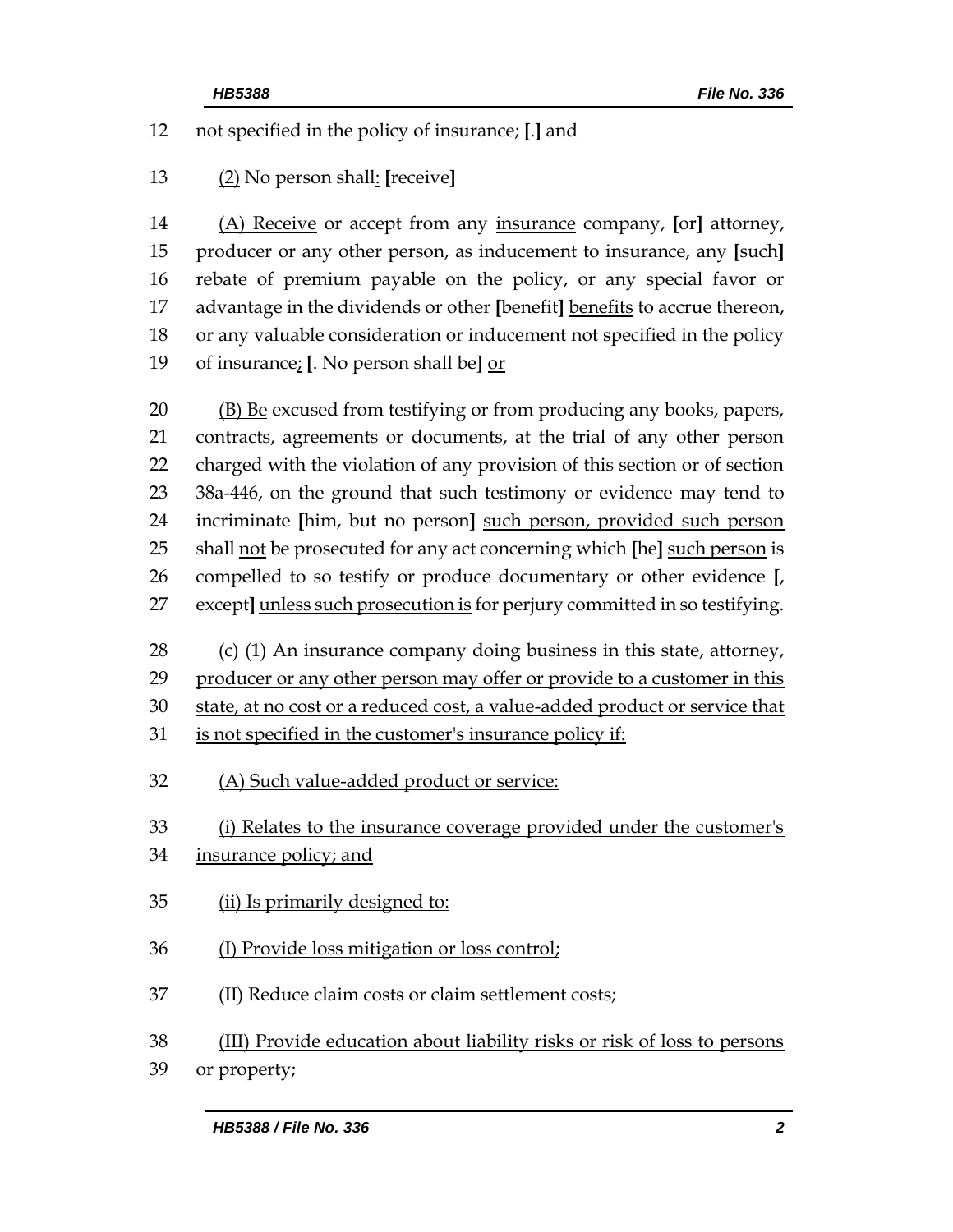not specified in the policy of insurance; **[**.**]** and

(2) No person shall: **[**receive**]**

 (A) Receive or accept from any insurance company, **[**or**]** attorney, producer or any other person, as inducement to insurance, any **[**such**]** rebate of premium payable on the policy, or any special favor or advantage in the dividends or other **[**benefit**]** benefits to accrue thereon, or any valuable consideration or inducement not specified in the policy of insurance; **[**. No person shall be**]** or

20 (B) Be excused from testifying or from producing any books, papers, contracts, agreements or documents, at the trial of any other person charged with the violation of any provision of this section or of section 38a-446, on the ground that such testimony or evidence may tend to incriminate **[**him, but no person**]** such person, provided such person shall not be prosecuted for any act concerning which **[**he**]** such person is compelled to so testify or produce documentary or other evidence **[**, except**]** unless such prosecution is for perjury committed in so testifying.

 (c) (1) An insurance company doing business in this state, attorney, producer or any other person may offer or provide to a customer in this

30 state, at no cost or a reduced cost, a value-added product or service that

- is not specified in the customer's insurance policy if:
- (A) Such value-added product or service:

(i) Relates to the insurance coverage provided under the customer's

- insurance policy; and
- (ii) Is primarily designed to:
- (I) Provide loss mitigation or loss control;
- (II) Reduce claim costs or claim settlement costs;
- (III) Provide education about liability risks or risk of loss to persons
- or property;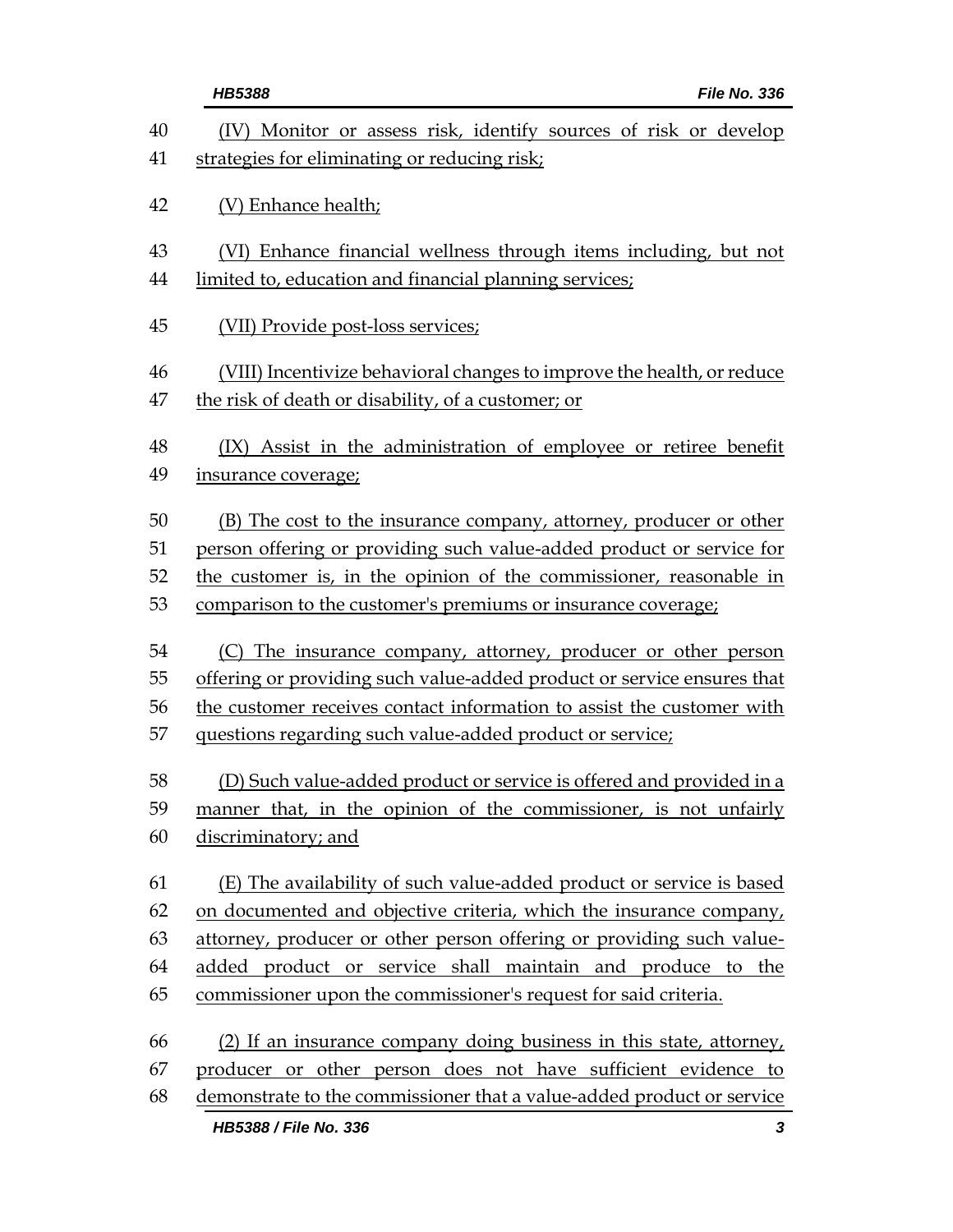|          | <b>HB5388</b><br>File No. 336                                                                                       |
|----------|---------------------------------------------------------------------------------------------------------------------|
| 40<br>41 | Monitor or assess risk, identify sources of risk or develop<br>(IV)<br>strategies for eliminating or reducing risk; |
| 42       | (V) Enhance health;                                                                                                 |
| 43       | (VI) Enhance financial wellness through items including, but not                                                    |
| 44       | limited to, education and financial planning services;                                                              |
| 45       | (VII) Provide post-loss services;                                                                                   |
| 46       | (VIII) Incentivize behavioral changes to improve the health, or reduce                                              |
| 47       | the risk of death or disability, of a customer; or                                                                  |
| 48       | (IX) Assist in the administration of employee or retiree benefit                                                    |
| 49       | insurance coverage;                                                                                                 |
| 50       | (B) The cost to the insurance company, attorney, producer or other                                                  |
| 51       | person offering or providing such value-added product or service for                                                |
| 52       | the customer is, in the opinion of the commissioner, reasonable in                                                  |
| 53       | comparison to the customer's premiums or insurance coverage;                                                        |
| 54       | (C) The insurance company, attorney, producer or other person                                                       |
| 55       | offering or providing such value-added product or service ensures that                                              |
| 56       | the customer receives contact information to assist the customer with                                               |
| 57       | questions regarding such value-added product or service;                                                            |
| 58       | (D) Such value-added product or service is offered and provided in a                                                |
| 59       | manner that, in the opinion of the commissioner, is not unfairly                                                    |
| 60       | discriminatory; and                                                                                                 |
| 61       | (E) The availability of such value-added product or service is based                                                |
| 62       | on documented and objective criteria, which the insurance company,                                                  |
| 63       | attorney, producer or other person offering or providing such value-                                                |
| 64       | added product or service shall maintain and produce to the                                                          |
| 65       | commissioner upon the commissioner's request for said criteria.                                                     |
| 66       | (2) If an insurance company doing business in this state, attorney,                                                 |
| 67       | producer or other person does not have sufficient evidence to                                                       |
| 68       | demonstrate to the commissioner that a value-added product or service                                               |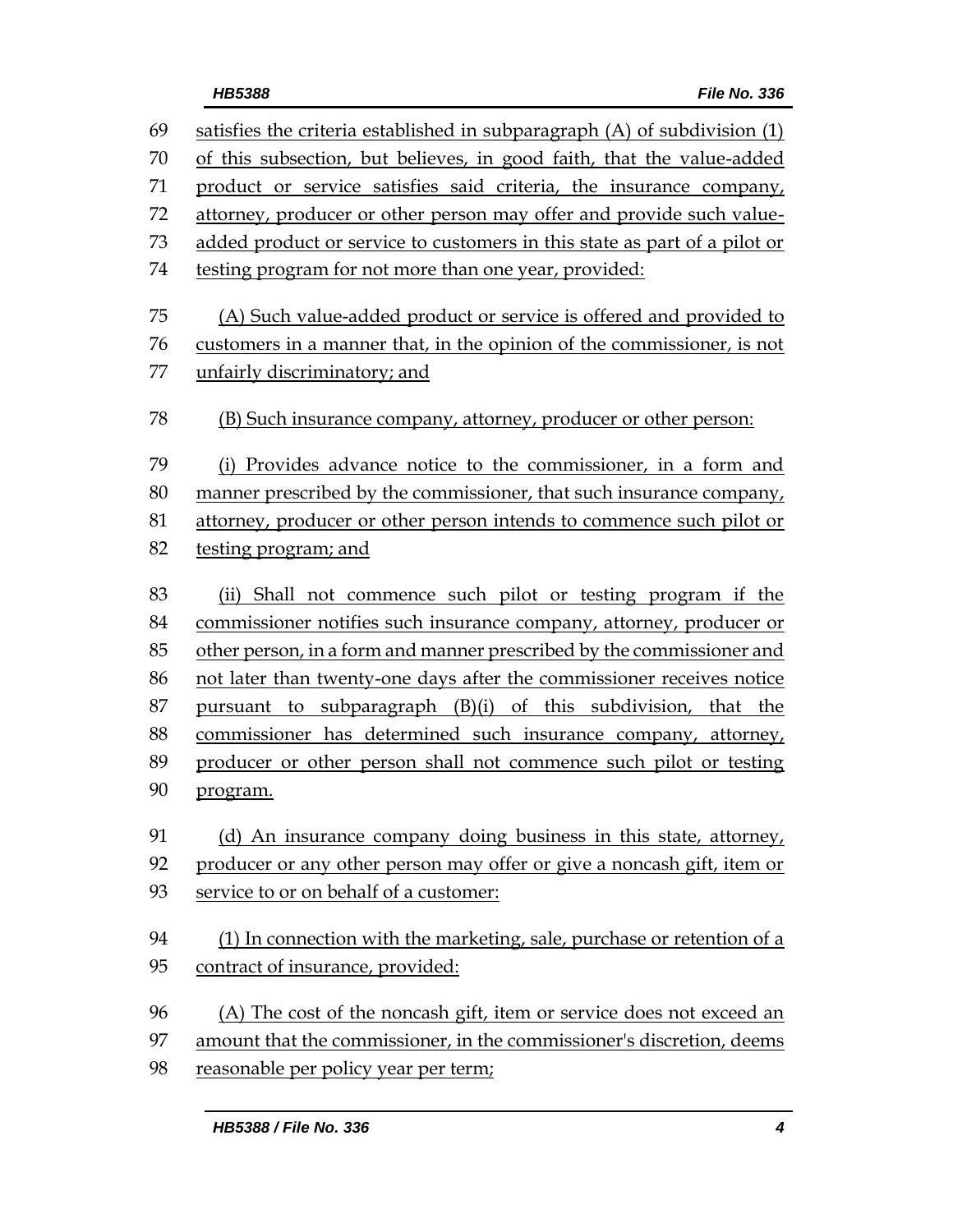| 69 | satisfies the criteria established in subparagraph (A) of subdivision (1) |  |
|----|---------------------------------------------------------------------------|--|
| 70 | of this subsection, but believes, in good faith, that the value-added     |  |
| 71 | product or service satisfies said criteria, the insurance company,        |  |
| 72 | attorney, producer or other person may offer and provide such value-      |  |
| 73 | added product or service to customers in this state as part of a pilot or |  |
| 74 | testing program for not more than one year, provided:                     |  |
| 75 | (A) Such value-added product or service is offered and provided to        |  |
| 76 | customers in a manner that, in the opinion of the commissioner, is not    |  |
| 77 | unfairly discriminatory; and                                              |  |
| 78 | (B) Such insurance company, attorney, producer or other person:           |  |
| 79 | Provides advance notice to the commissioner, in a form and<br>(i)         |  |
| 80 | manner prescribed by the commissioner, that such insurance company,       |  |
| 81 | attorney, producer or other person intends to commence such pilot or      |  |
| 82 | testing program; and                                                      |  |
| 83 | (ii) Shall not commence such pilot or testing program if the              |  |
| 84 | commissioner notifies such insurance company, attorney, producer or       |  |
| 85 | other person, in a form and manner prescribed by the commissioner and     |  |
| 86 | not later than twenty-one days after the commissioner receives notice     |  |
| 87 | pursuant to subparagraph (B)(i) of this subdivision, that the             |  |
| 88 | commissioner has determined such insurance company, attorney,             |  |
| 89 | producer or other person shall not commence such pilot or testing         |  |
| 90 | program.                                                                  |  |
| 91 | (d) An insurance company doing business in this state, attorney,          |  |
| 92 | producer or any other person may offer or give a noncash gift, item or    |  |
| 93 | service to or on behalf of a customer:                                    |  |
| 94 | (1) In connection with the marketing, sale, purchase or retention of a    |  |
| 95 | contract of insurance, provided:                                          |  |
|    |                                                                           |  |
| 96 | (A) The cost of the noncash gift, item or service does not exceed an      |  |
| 97 | amount that the commissioner, in the commissioner's discretion, deems     |  |
| 98 | reasonable per policy year per term;                                      |  |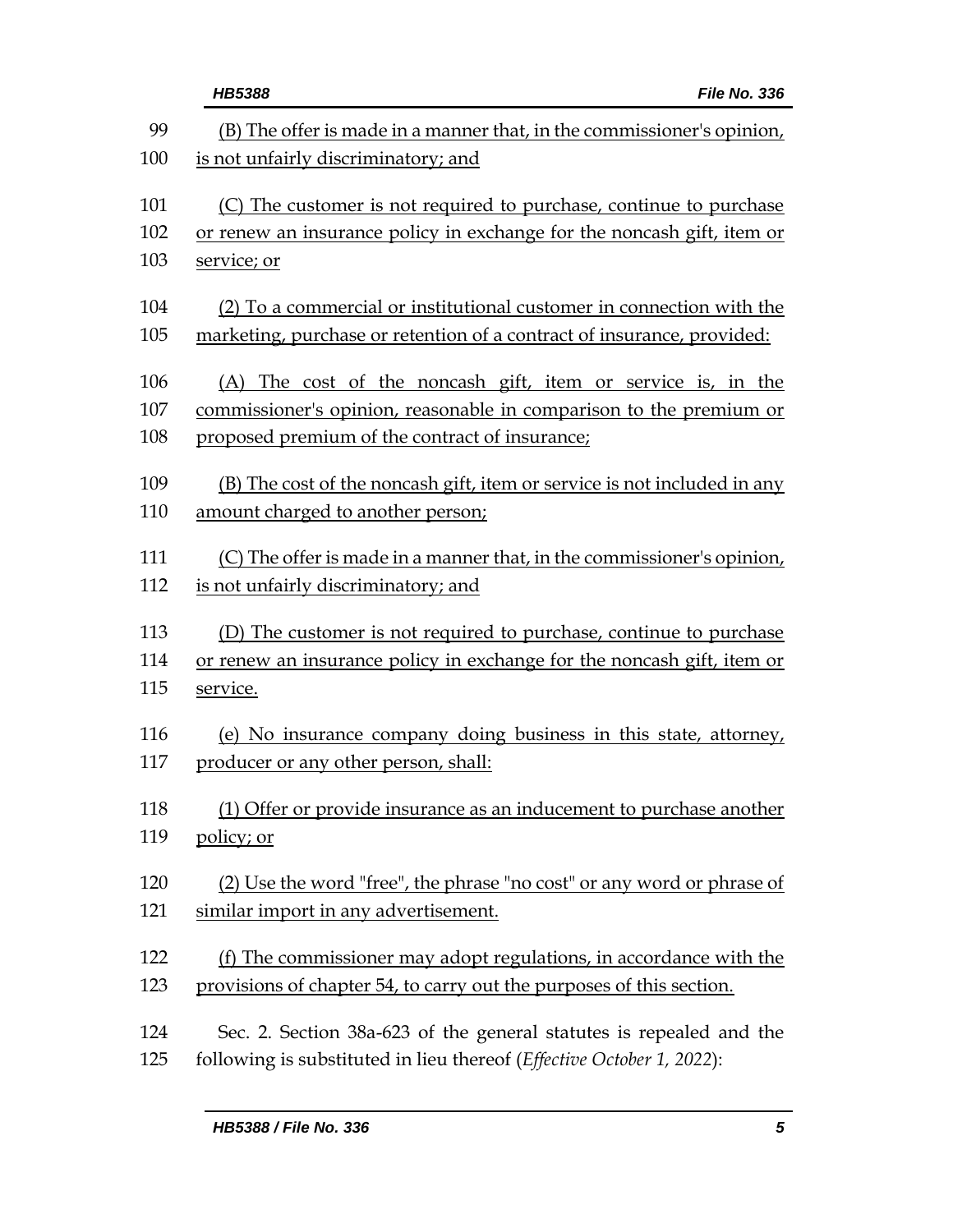| <b>HB5388</b><br>File No. 336                                            |
|--------------------------------------------------------------------------|
| (B) The offer is made in a manner that, in the commissioner's opinion,   |
| is not unfairly discriminatory; and                                      |
| (C) The customer is not required to purchase, continue to purchase       |
| or renew an insurance policy in exchange for the noncash gift, item or   |
| service; or                                                              |
| (2) To a commercial or institutional customer in connection with the     |
| marketing, purchase or retention of a contract of insurance, provided:   |
| (A) The cost of the noncash gift, item or service is, in the             |
| commissioner's opinion, reasonable in comparison to the premium or       |
| proposed premium of the contract of insurance;                           |
| (B) The cost of the noncash gift, item or service is not included in any |
| amount charged to another person;                                        |
| (C) The offer is made in a manner that, in the commissioner's opinion,   |
| is not unfairly discriminatory; and                                      |
| (D) The customer is not required to purchase, continue to purchase       |
| or renew an insurance policy in exchange for the noncash gift, item or   |
| service.                                                                 |
| (e) No insurance company doing business in this state, attorney,         |
| producer or any other person, shall:                                     |
| (1) Offer or provide insurance as an inducement to purchase another      |
| policy; or                                                               |
| (2) Use the word "free", the phrase "no cost" or any word or phrase of   |
| similar import in any advertisement.                                     |
| (f) The commissioner may adopt regulations, in accordance with the       |
| provisions of chapter 54, to carry out the purposes of this section.     |
| Sec. 2. Section 38a-623 of the general statutes is repealed and the      |
| following is substituted in lieu thereof (Effective October 1, 2022):    |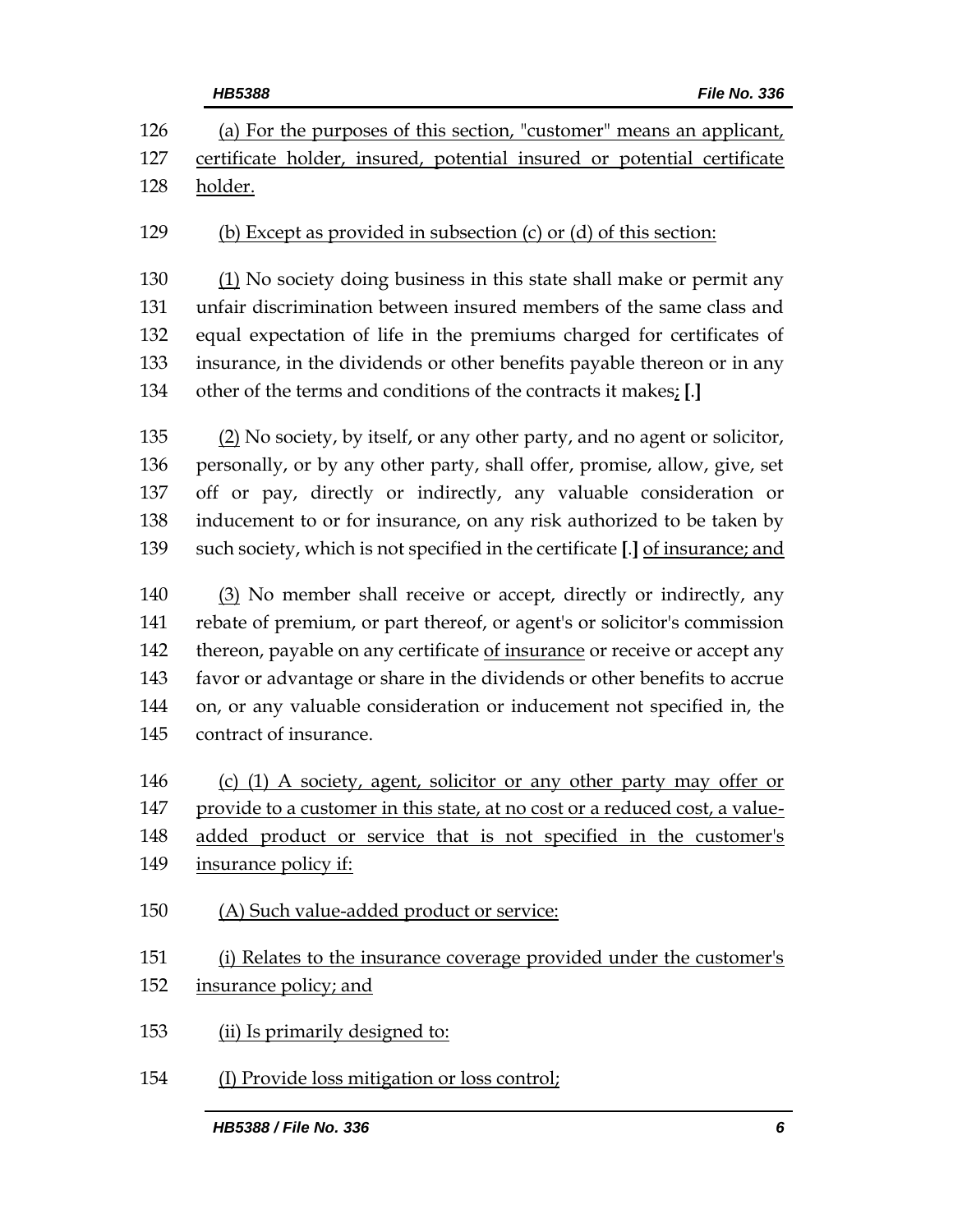| <b>HB5388</b><br>File No. 336                                                                                                                   |
|-------------------------------------------------------------------------------------------------------------------------------------------------|
| (a) For the purposes of this section, "customer" means an applicant,<br>certificate holder, insured, potential insured or potential certificate |
| holder.                                                                                                                                         |
| (b) Except as provided in subsection (c) or (d) of this section:                                                                                |
| $(1)$ No society doing business in this state shall make or permit any                                                                          |
| unfair discrimination between insured members of the same class and                                                                             |
| equal expectation of life in the premiums charged for certificates of                                                                           |
| insurance, in the dividends or other benefits payable thereon or in any                                                                         |
| other of the terms and conditions of the contracts it makes; [.]                                                                                |
| (2) No society, by itself, or any other party, and no agent or solicitor,                                                                       |
| personally, or by any other party, shall offer, promise, allow, give, set                                                                       |
| off or pay, directly or indirectly, any valuable consideration or                                                                               |
| inducement to or for insurance, on any risk authorized to be taken by                                                                           |
| such society, which is not specified in the certificate [.] of insurance; and                                                                   |
| (3) No member shall receive or accept, directly or indirectly, any                                                                              |
| rebate of premium, or part thereof, or agent's or solicitor's commission                                                                        |
| thereon, payable on any certificate of insurance or receive or accept any                                                                       |
| favor or advantage or share in the dividends or other benefits to accrue                                                                        |
| on, or any valuable consideration or inducement not specified in, the                                                                           |
| contract of insurance.                                                                                                                          |
| (c) $(1)$ A society, agent, solicitor or any other party may offer or                                                                           |
| provide to a customer in this state, at no cost or a reduced cost, a value-                                                                     |
| added product or service that is not specified in the customer's                                                                                |
| insurance policy if:                                                                                                                            |
| (A) Such value-added product or service:                                                                                                        |
| (i) Relates to the insurance coverage provided under the customer's                                                                             |
| insurance policy; and                                                                                                                           |
| (ii) Is primarily designed to:                                                                                                                  |
| (I) Provide loss mitigation or loss control;                                                                                                    |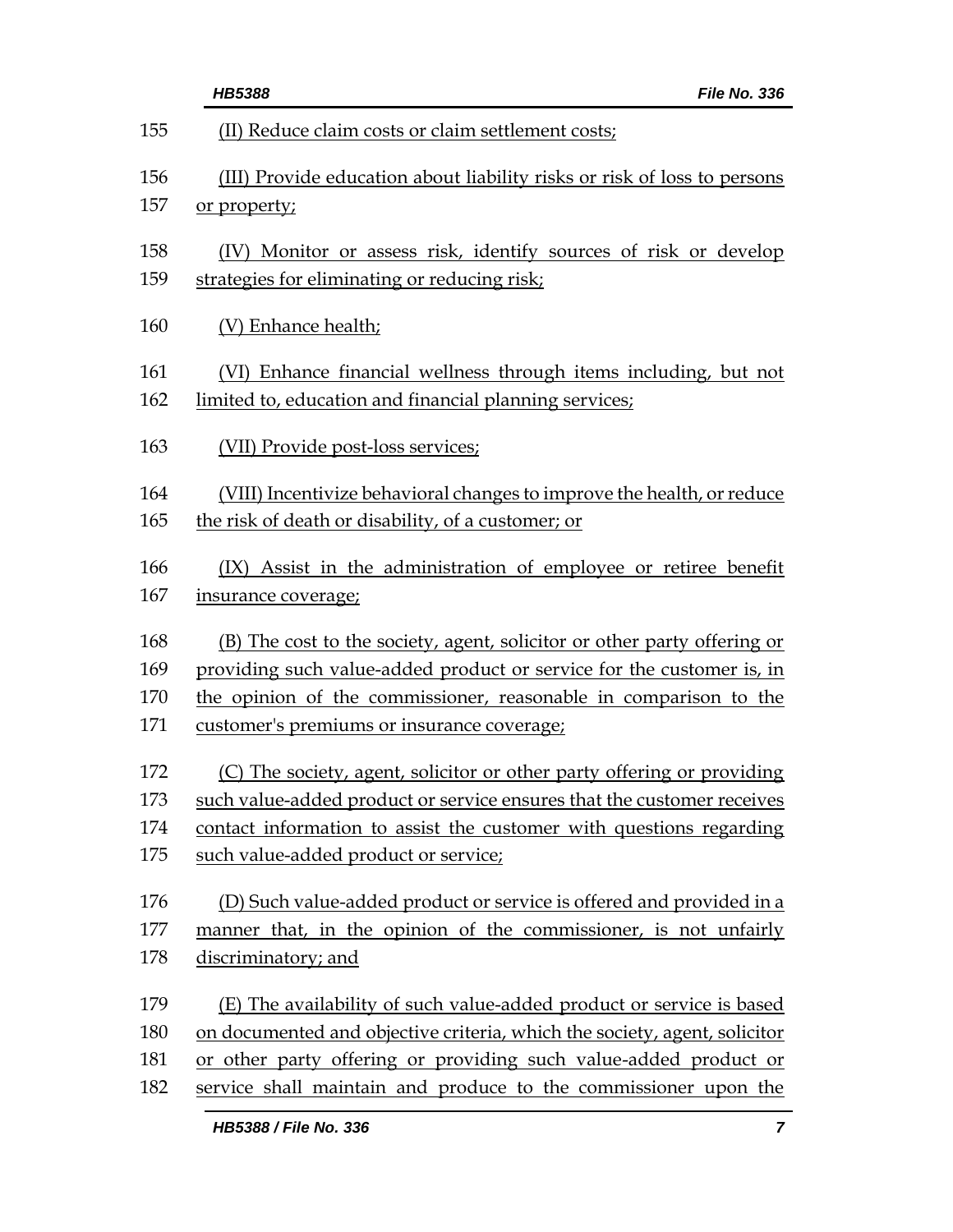|     | File No. 336<br><b>HB5388</b>                                             |
|-----|---------------------------------------------------------------------------|
| 155 | (II) Reduce claim costs or claim settlement costs;                        |
| 156 | (III) Provide education about liability risks or risk of loss to persons  |
| 157 | or property;                                                              |
| 158 | (IV) Monitor or assess risk, identify sources of risk or develop          |
| 159 | strategies for eliminating or reducing risk;                              |
| 160 | (V) Enhance health;                                                       |
| 161 | (VI) Enhance financial wellness through items including, but not          |
| 162 | limited to, education and financial planning services;                    |
| 163 | (VII) Provide post-loss services;                                         |
| 164 | (VIII) Incentivize behavioral changes to improve the health, or reduce    |
| 165 | the risk of death or disability, of a customer; or                        |
| 166 | (IX) Assist in the administration of employee or retiree benefit          |
| 167 | <i>insurance coverage;</i>                                                |
| 168 | (B) The cost to the society, agent, solicitor or other party offering or  |
| 169 | providing such value-added product or service for the customer is, in     |
| 170 | the opinion of the commissioner, reasonable in comparison to the          |
| 171 | customer's premiums or insurance coverage;                                |
| 172 | (C) The society, agent, solicitor or other party offering or providing    |
| 173 | such value-added product or service ensures that the customer receives    |
| 174 | contact information to assist the customer with questions regarding       |
| 175 | such value-added product or service;                                      |
| 176 | (D) Such value-added product or service is offered and provided in a      |
| 177 | manner that, in the opinion of the commissioner, is not unfairly          |
| 178 | discriminatory; and                                                       |
| 179 | (E) The availability of such value-added product or service is based      |
| 180 | on documented and objective criteria, which the society, agent, solicitor |
| 181 | or other party offering or providing such value-added product or          |
| 182 | service shall maintain and produce to the commissioner upon the           |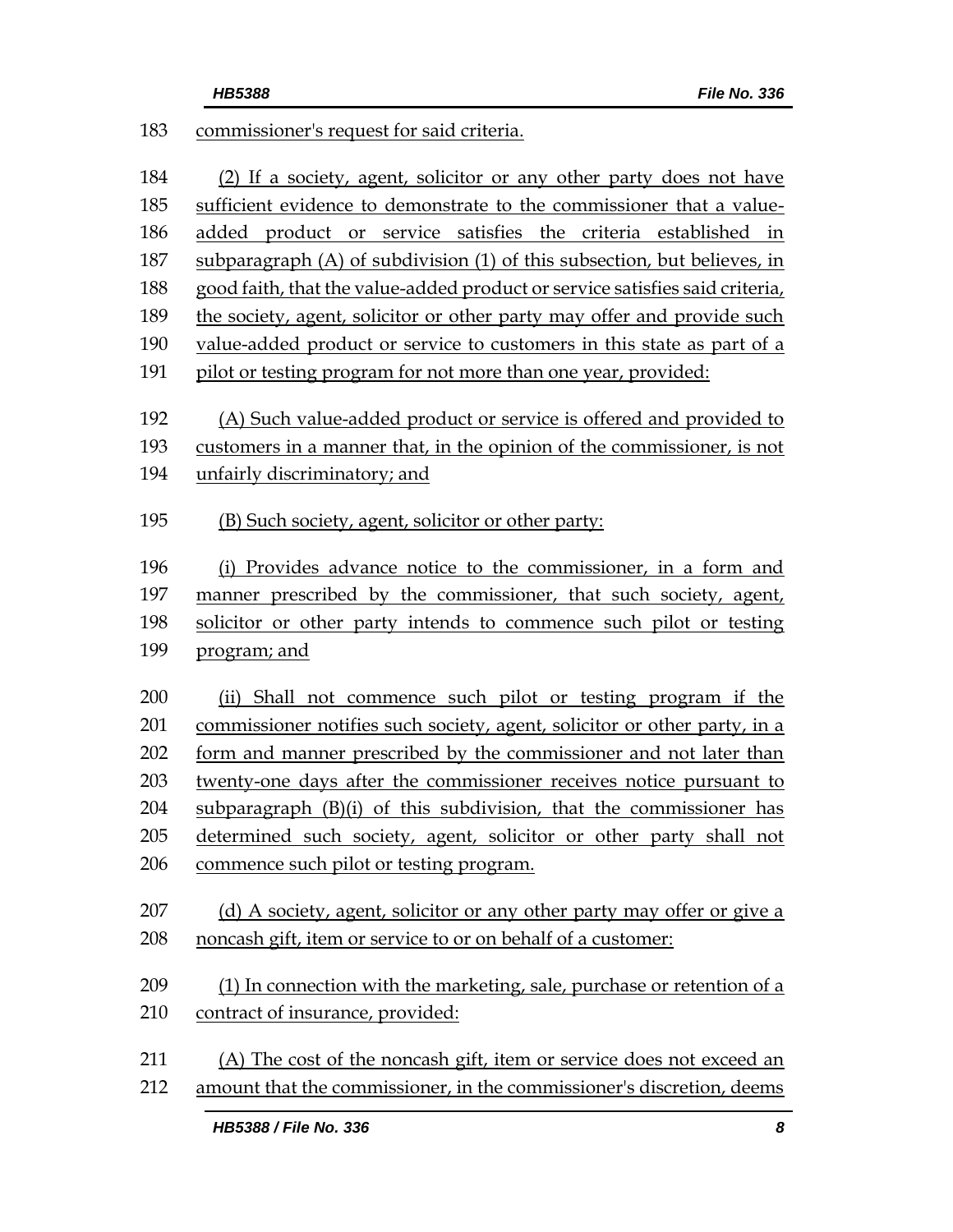| 183 | commissioner's request for said criteria.                                    |
|-----|------------------------------------------------------------------------------|
| 184 | (2) If a society, agent, solicitor or any other party does not have          |
| 185 | sufficient evidence to demonstrate to the commissioner that a value-         |
| 186 | added product or service satisfies the criteria established in               |
| 187 | subparagraph (A) of subdivision (1) of this subsection, but believes, in     |
| 188 | good faith, that the value-added product or service satisfies said criteria, |
| 189 | the society, agent, solicitor or other party may offer and provide such      |
| 190 | value-added product or service to customers in this state as part of a       |
| 191 | pilot or testing program for not more than one year, provided:               |
| 192 | (A) Such value-added product or service is offered and provided to           |
| 193 | customers in a manner that, in the opinion of the commissioner, is not       |
| 194 | unfairly discriminatory; and                                                 |
| 195 | (B) Such society, agent, solicitor or other party:                           |
| 196 | (i) Provides advance notice to the commissioner, in a form and               |
| 197 | manner prescribed by the commissioner, that such society, agent,             |
| 198 | solicitor or other party intends to commence such pilot or testing           |
| 199 | program; and                                                                 |
| 200 | (ii) Shall not commence such pilot or testing program if the                 |
| 201 | commissioner notifies such society, agent, solicitor or other party, in a    |
| 202 | <u>form and manner prescribed by the commissioner and not later than</u>     |
| 203 | twenty-one days after the commissioner receives notice pursuant to           |
| 204 | subparagraph (B)(i) of this subdivision, that the commissioner has           |
| 205 | determined such society, agent, solicitor or other party shall not           |
| 206 | commence such pilot or testing program.                                      |
| 207 | (d) A society, agent, solicitor or any other party may offer or give a       |
| 208 | noncash gift, item or service to or on behalf of a customer:                 |
| 209 | (1) In connection with the marketing, sale, purchase or retention of a       |
| 210 | contract of insurance, provided:                                             |
| 211 | (A) The cost of the noncash gift, item or service does not exceed an         |
| 212 | amount that the commissioner, in the commissioner's discretion, deems        |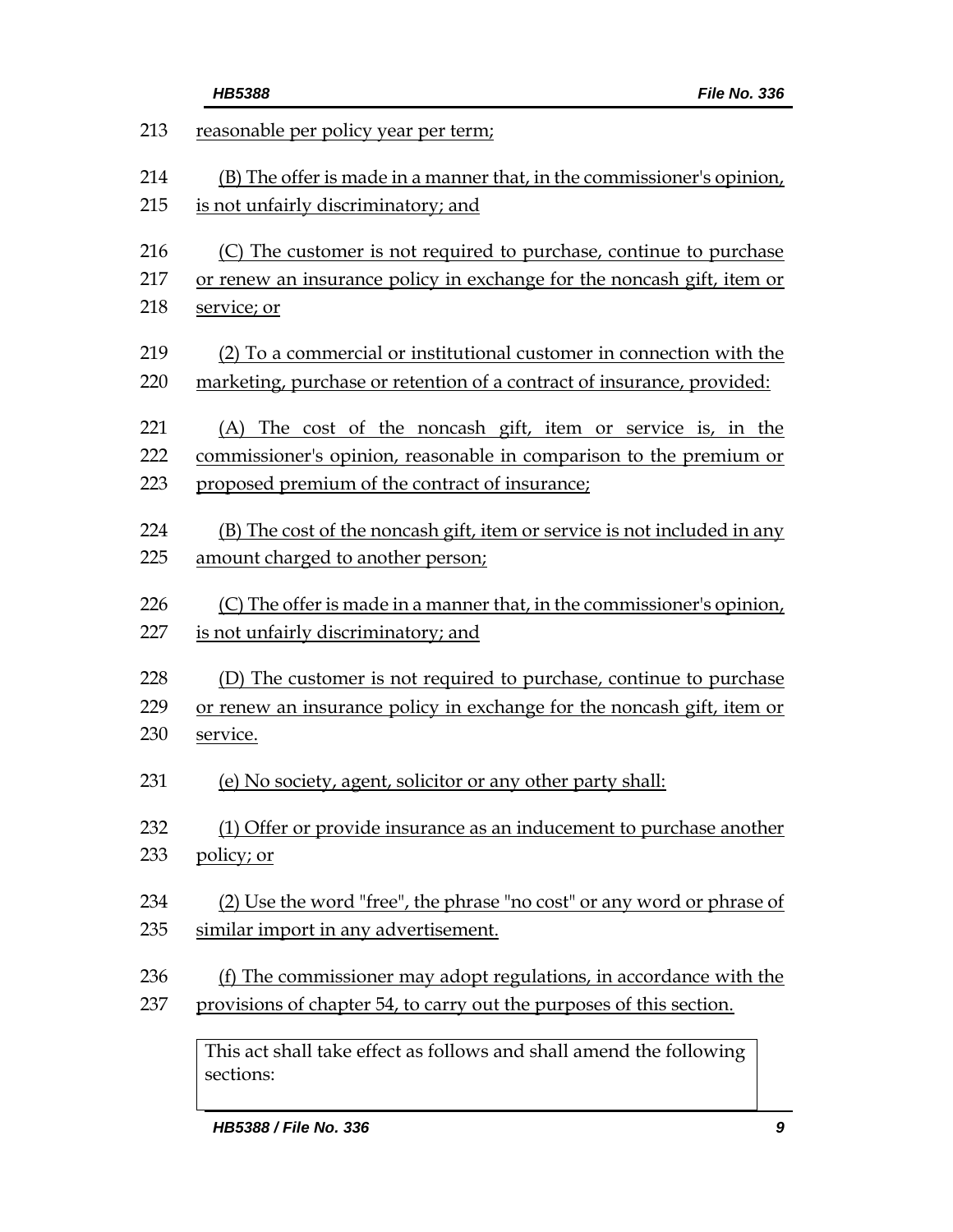|                                                                      | File No. 336<br>HB5388                                                           |
|----------------------------------------------------------------------|----------------------------------------------------------------------------------|
|                                                                      | reasonable per policy year per term;                                             |
|                                                                      | (B) The offer is made in a manner that, in the commissioner's opinion,           |
| is not unfairly discriminatory; and                                  |                                                                                  |
|                                                                      | (C) The customer is not required to purchase, continue to purchase               |
|                                                                      | or renew an insurance policy in exchange for the noncash gift, item or           |
| service; or                                                          |                                                                                  |
|                                                                      | (2) To a commercial or institutional customer in connection with the             |
|                                                                      | marketing, purchase or retention of a contract of insurance, provided:           |
|                                                                      | (A) The cost of the noncash gift, item or service is, in the                     |
|                                                                      | commissioner's opinion, reasonable in comparison to the premium or               |
|                                                                      | proposed premium of the contract of insurance;                                   |
|                                                                      | (B) The cost of the noncash gift, item or service is not included in any         |
|                                                                      | amount charged to another person;                                                |
|                                                                      | (C) The offer is made in a manner that, in the commissioner's opinion,           |
|                                                                      | is not unfairly discriminatory; and                                              |
|                                                                      | (D) The customer is not required to purchase, continue to purchase               |
|                                                                      | or renew an insurance policy in exchange for the noncash gift, item or           |
|                                                                      | service.                                                                         |
|                                                                      | (e) No society, agent, solicitor or any other party shall:                       |
| (1) Offer or provide insurance as an inducement to purchase another  |                                                                                  |
|                                                                      | policy; or                                                                       |
|                                                                      | (2) Use the word "free", the phrase "no cost" or any word or phrase of           |
|                                                                      | similar import in any advertisement.                                             |
|                                                                      | <u>(f) The commissioner may adopt regulations, in accordance with the</u>        |
| provisions of chapter 54, to carry out the purposes of this section. |                                                                                  |
|                                                                      | This act shall take effect as follows and shall amend the following<br>sections: |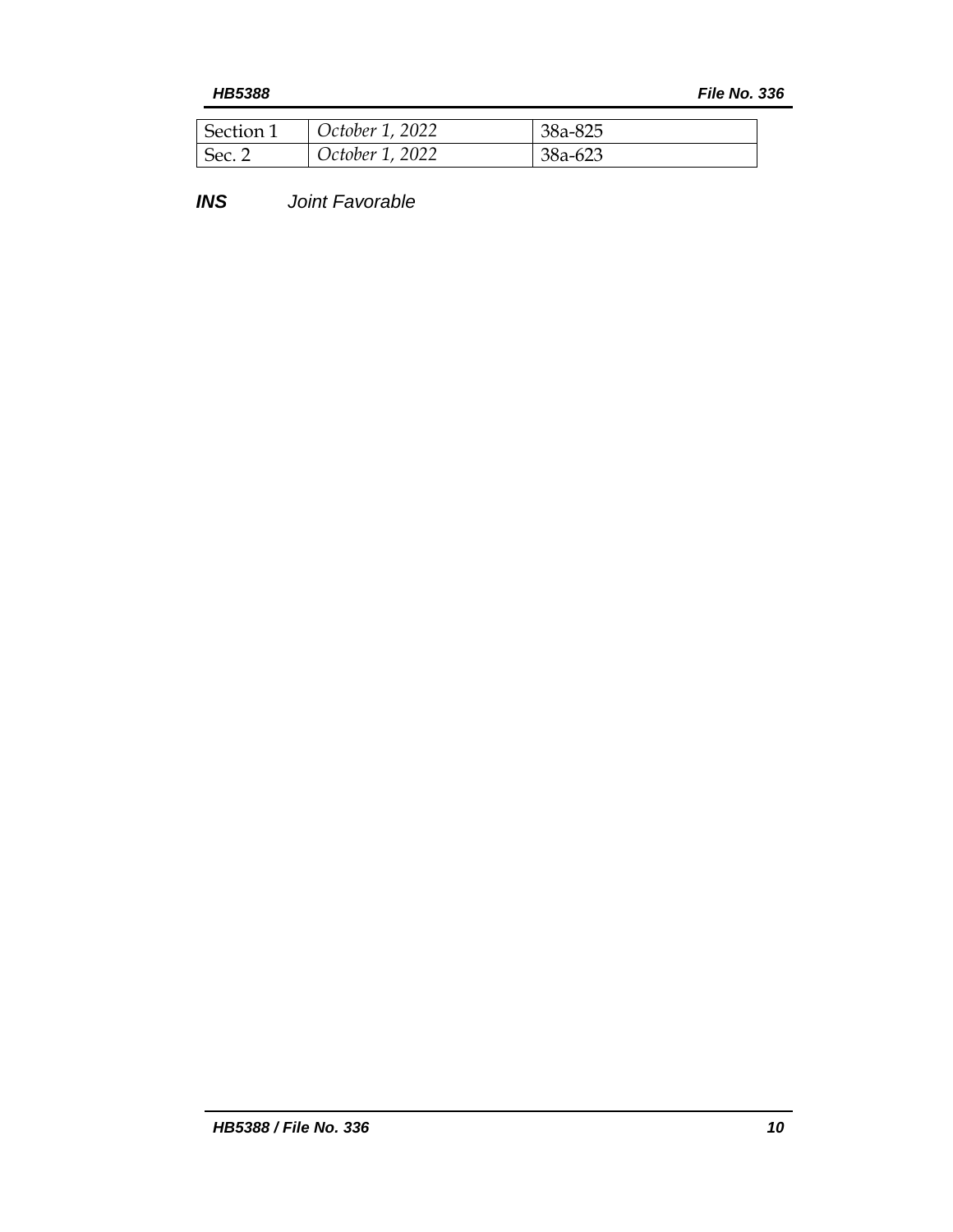*HB5388 File No. 336*

| Section 1      | October 1, 2022 | 38a-825 |
|----------------|-----------------|---------|
| $\vert$ Sec. 2 | October 1, 2022 | 38a-623 |

*INS Joint Favorable*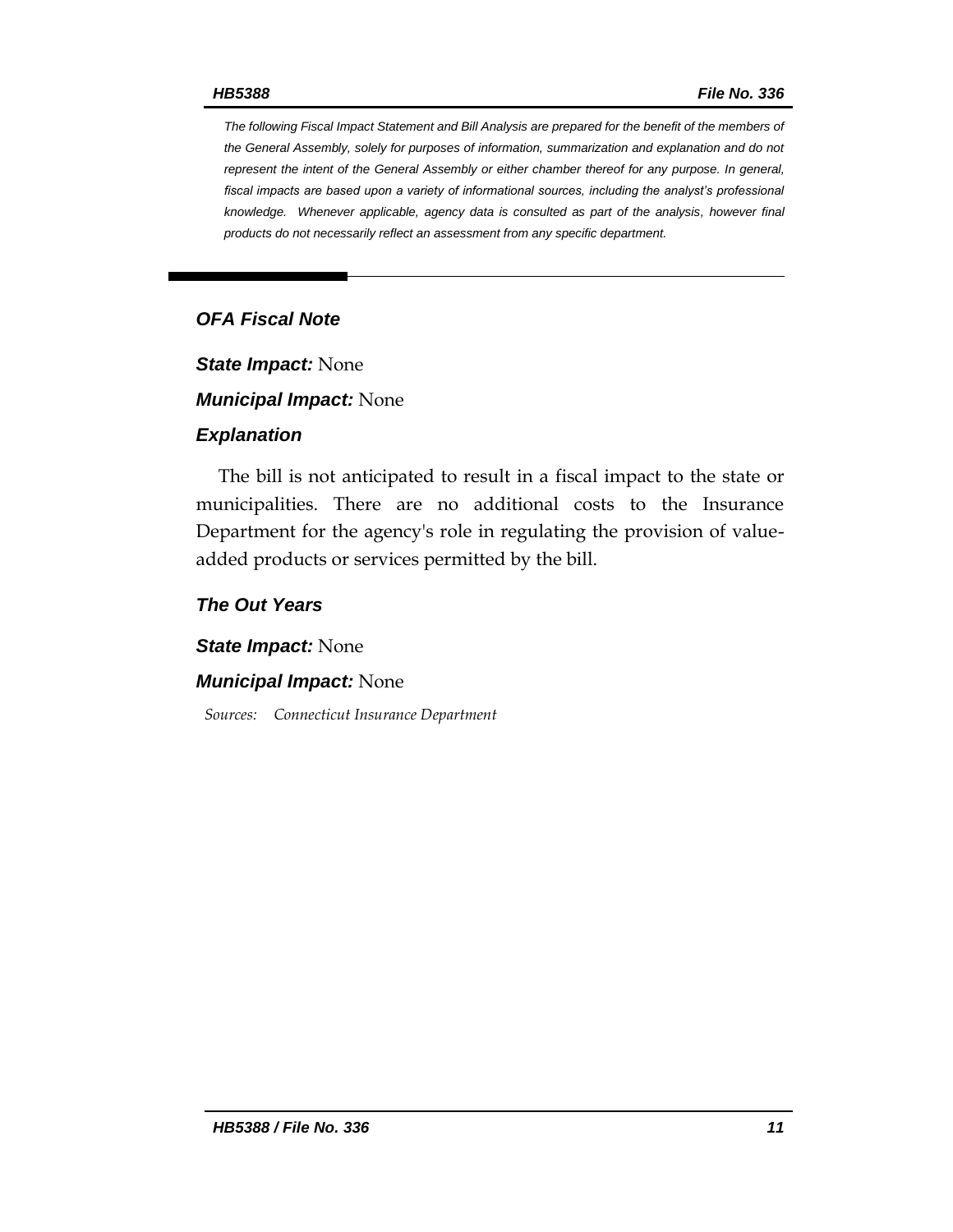*The following Fiscal Impact Statement and Bill Analysis are prepared for the benefit of the members of the General Assembly, solely for purposes of information, summarization and explanation and do not represent the intent of the General Assembly or either chamber thereof for any purpose. In general,*  fiscal impacts are based upon a variety of informational sources, including the analyst's professional *knowledge. Whenever applicable, agency data is consulted as part of the analysis, however final products do not necessarily reflect an assessment from any specific department.*

## *OFA Fiscal Note*

*State Impact:* None

*Municipal Impact:* None

#### *Explanation*

The bill is not anticipated to result in a fiscal impact to the state or municipalities. There are no additional costs to the Insurance Department for the agency's role in regulating the provision of valueadded products or services permitted by the bill.

#### *The Out Years*

*State Impact:* None

#### *Municipal Impact:* None

*Sources: Connecticut Insurance Department*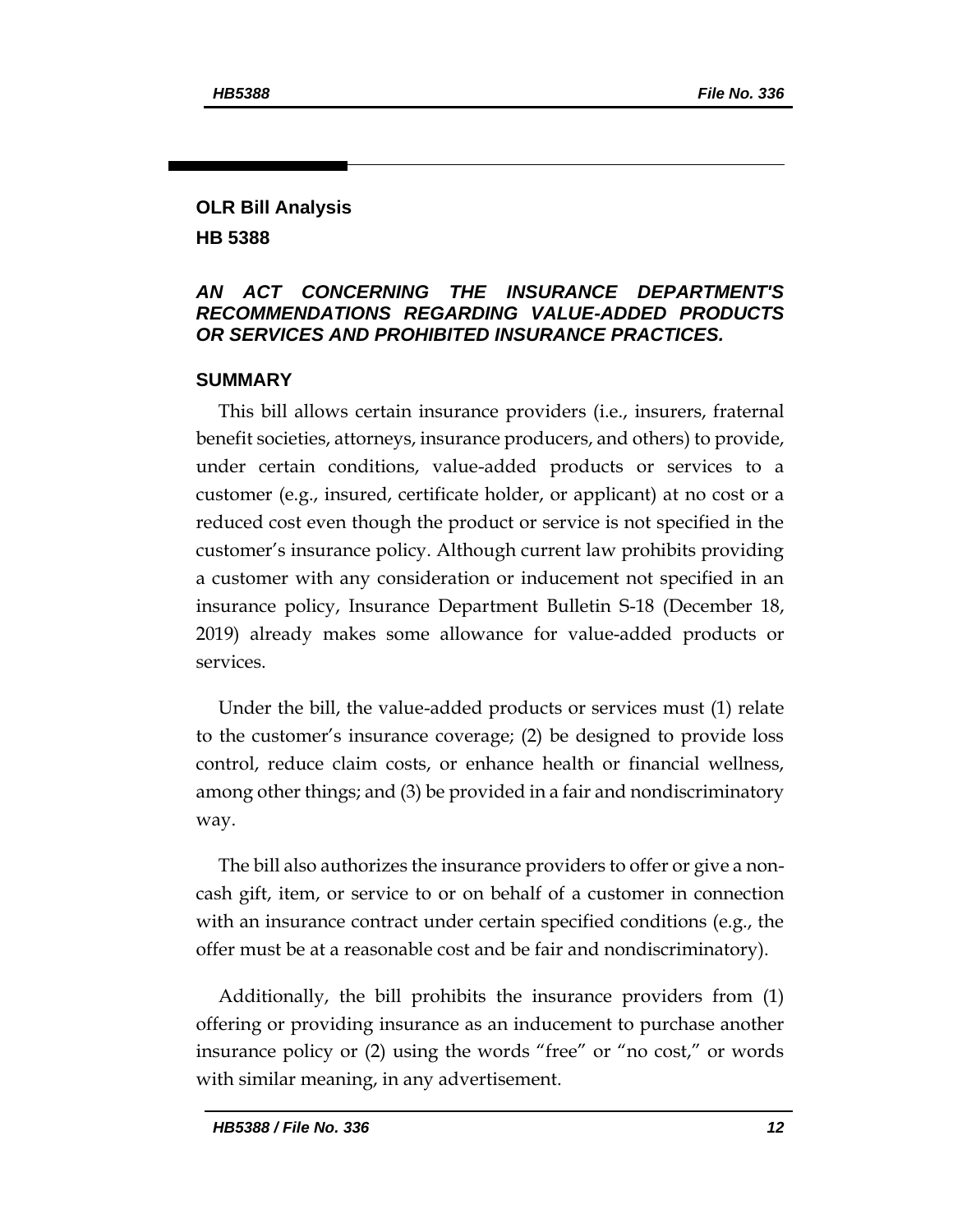# **OLR Bill Analysis HB 5388**

## *AN ACT CONCERNING THE INSURANCE DEPARTMENT'S RECOMMENDATIONS REGARDING VALUE-ADDED PRODUCTS OR SERVICES AND PROHIBITED INSURANCE PRACTICES.*

#### **SUMMARY**

This bill allows certain insurance providers (i.e., insurers, fraternal benefit societies, attorneys, insurance producers, and others) to provide, under certain conditions, value-added products or services to a customer (e.g., insured, certificate holder, or applicant) at no cost or a reduced cost even though the product or service is not specified in the customer's insurance policy. Although current law prohibits providing a customer with any consideration or inducement not specified in an insurance policy, Insurance Department Bulletin S-18 (December 18, 2019) already makes some allowance for value-added products or services.

Under the bill, the value-added products or services must (1) relate to the customer's insurance coverage; (2) be designed to provide loss control, reduce claim costs, or enhance health or financial wellness, among other things; and (3) be provided in a fair and nondiscriminatory way.

The bill also authorizes the insurance providers to offer or give a noncash gift, item, or service to or on behalf of a customer in connection with an insurance contract under certain specified conditions (e.g., the offer must be at a reasonable cost and be fair and nondiscriminatory).

Additionally, the bill prohibits the insurance providers from (1) offering or providing insurance as an inducement to purchase another insurance policy or (2) using the words "free" or "no cost," or words with similar meaning, in any advertisement.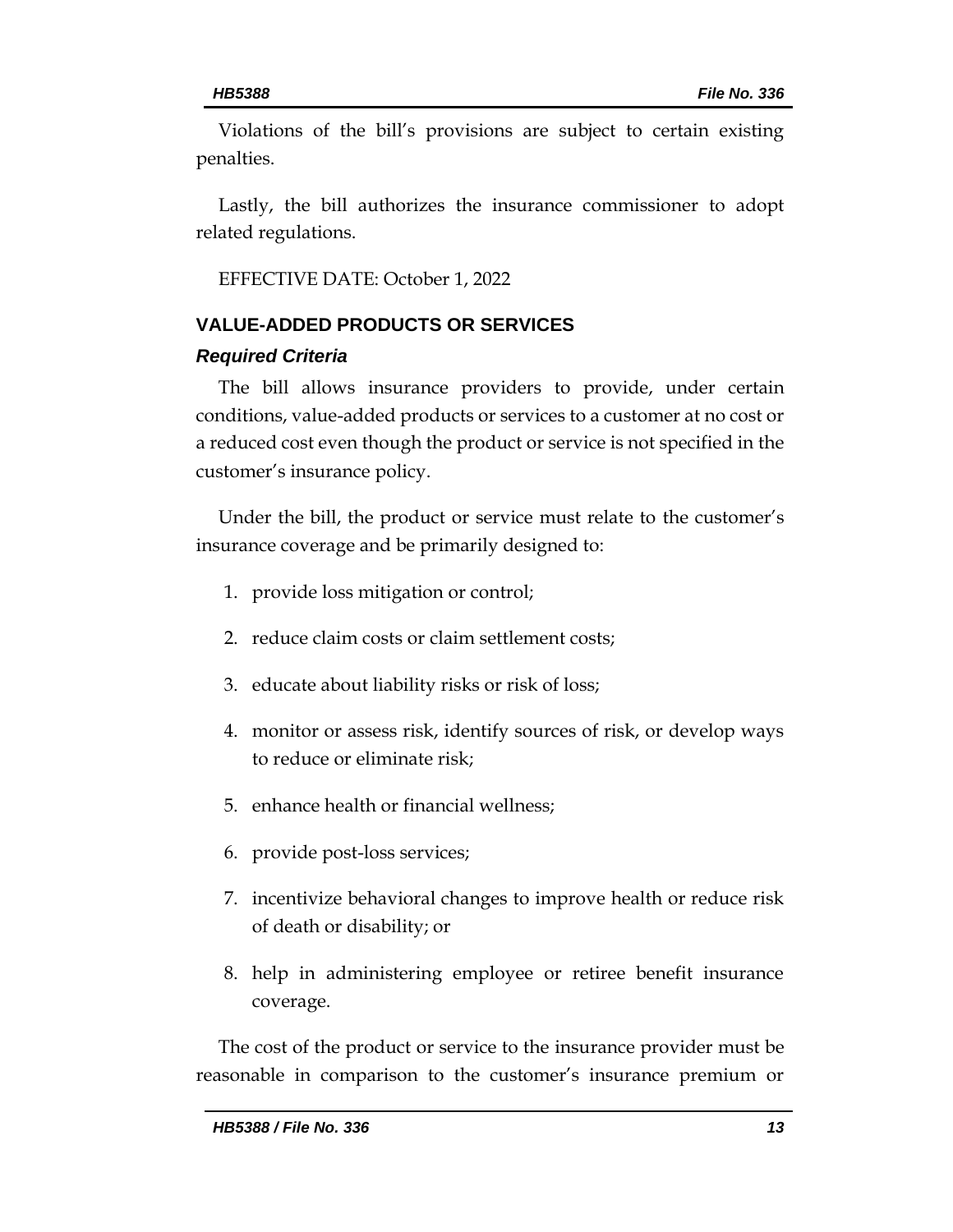Violations of the bill's provisions are subject to certain existing penalties.

Lastly, the bill authorizes the insurance commissioner to adopt related regulations.

EFFECTIVE DATE: October 1, 2022

# **VALUE-ADDED PRODUCTS OR SERVICES**

## *Required Criteria*

The bill allows insurance providers to provide, under certain conditions, value-added products or services to a customer at no cost or a reduced cost even though the product or service is not specified in the customer's insurance policy.

Under the bill, the product or service must relate to the customer's insurance coverage and be primarily designed to:

- 1. provide loss mitigation or control;
- 2. reduce claim costs or claim settlement costs;
- 3. educate about liability risks or risk of loss;
- 4. monitor or assess risk, identify sources of risk, or develop ways to reduce or eliminate risk;
- 5. enhance health or financial wellness;
- 6. provide post-loss services;
- 7. incentivize behavioral changes to improve health or reduce risk of death or disability; or
- 8. help in administering employee or retiree benefit insurance coverage.

The cost of the product or service to the insurance provider must be reasonable in comparison to the customer's insurance premium or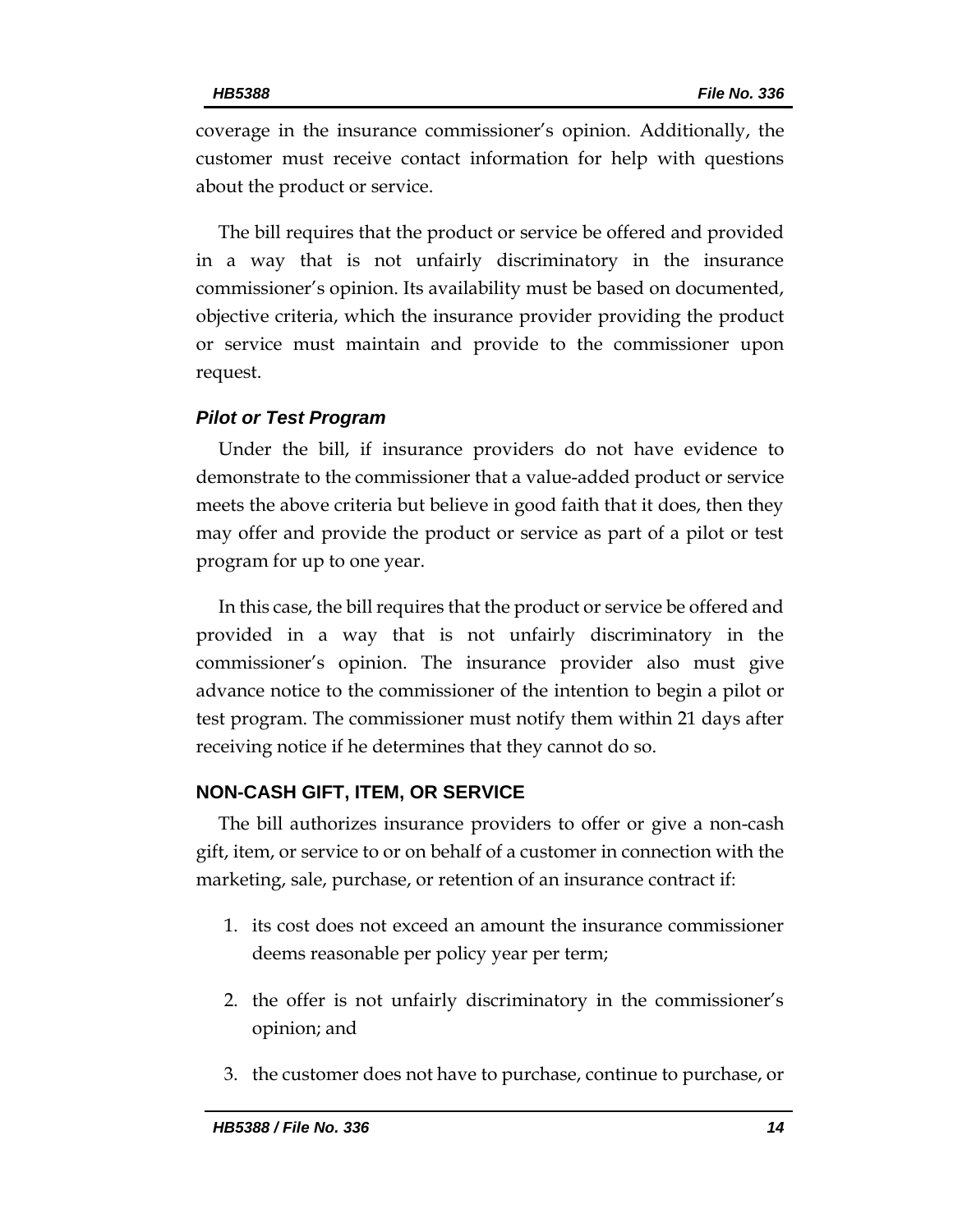coverage in the insurance commissioner's opinion. Additionally, the customer must receive contact information for help with questions about the product or service.

The bill requires that the product or service be offered and provided in a way that is not unfairly discriminatory in the insurance commissioner's opinion. Its availability must be based on documented, objective criteria, which the insurance provider providing the product or service must maintain and provide to the commissioner upon request.

## *Pilot or Test Program*

Under the bill, if insurance providers do not have evidence to demonstrate to the commissioner that a value-added product or service meets the above criteria but believe in good faith that it does, then they may offer and provide the product or service as part of a pilot or test program for up to one year.

In this case, the bill requires that the product or service be offered and provided in a way that is not unfairly discriminatory in the commissioner's opinion. The insurance provider also must give advance notice to the commissioner of the intention to begin a pilot or test program. The commissioner must notify them within 21 days after receiving notice if he determines that they cannot do so.

# **NON-CASH GIFT, ITEM, OR SERVICE**

The bill authorizes insurance providers to offer or give a non-cash gift, item, or service to or on behalf of a customer in connection with the marketing, sale, purchase, or retention of an insurance contract if:

- 1. its cost does not exceed an amount the insurance commissioner deems reasonable per policy year per term;
- 2. the offer is not unfairly discriminatory in the commissioner's opinion; and
- 3. the customer does not have to purchase, continue to purchase, or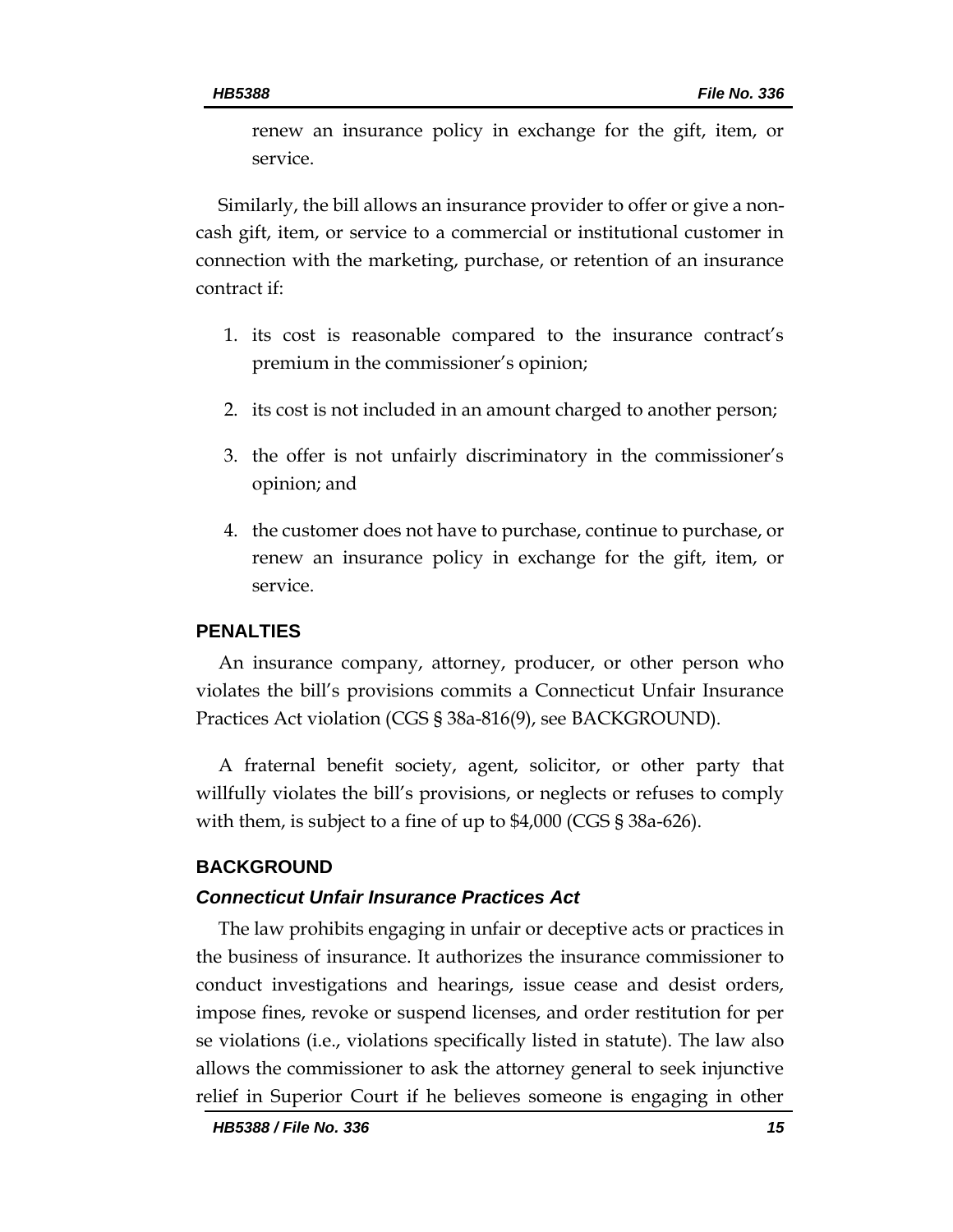renew an insurance policy in exchange for the gift, item, or service.

Similarly, the bill allows an insurance provider to offer or give a noncash gift, item, or service to a commercial or institutional customer in connection with the marketing, purchase, or retention of an insurance contract if:

- 1. its cost is reasonable compared to the insurance contract's premium in the commissioner's opinion;
- 2. its cost is not included in an amount charged to another person;
- 3. the offer is not unfairly discriminatory in the commissioner's opinion; and
- 4. the customer does not have to purchase, continue to purchase, or renew an insurance policy in exchange for the gift, item, or service.

### **PENALTIES**

An insurance company, attorney, producer, or other person who violates the bill's provisions commits a Connecticut Unfair Insurance Practices Act violation (CGS § 38a-816(9), see BACKGROUND).

A fraternal benefit society, agent, solicitor, or other party that willfully violates the bill's provisions, or neglects or refuses to comply with them, is subject to a fine of up to \$4,000 (CGS § 38a-626).

### **BACKGROUND**

#### *Connecticut Unfair Insurance Practices Act*

The law prohibits engaging in unfair or deceptive acts or practices in the business of insurance. It authorizes the insurance commissioner to conduct investigations and hearings, issue cease and desist orders, impose fines, revoke or suspend licenses, and order restitution for per se violations (i.e., violations specifically listed in statute). The law also allows the commissioner to ask the attorney general to seek injunctive relief in Superior Court if he believes someone is engaging in other